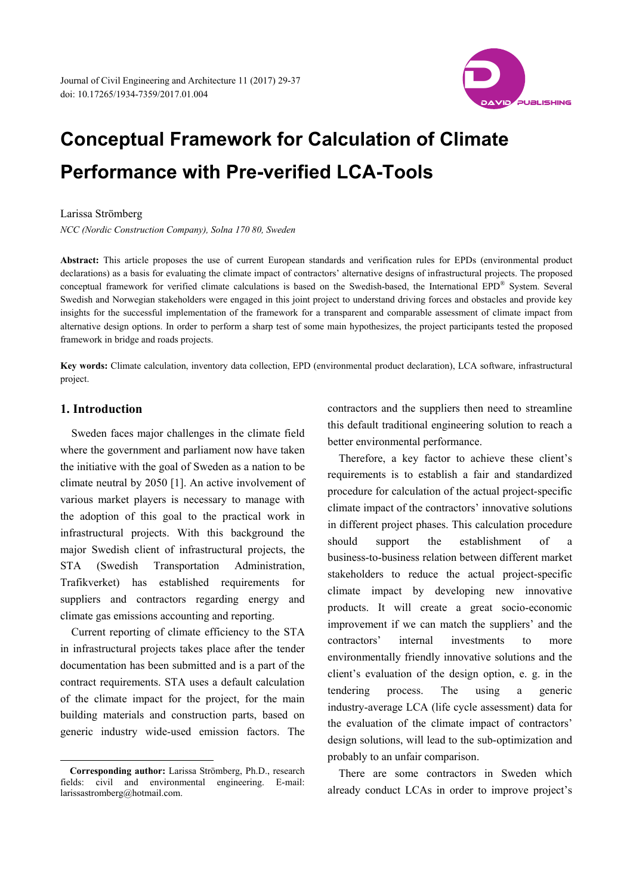

# **Conceptual Framework for Calculation of Climate Performance with Pre-verified LCA-Tools**

#### Larissa Strömberg

*NCC (Nordic Construction Company), Solna 170 80, Sweden* 

**Abstract:** This article proposes the use of current European standards and verification rules for EPDs (environmental product declarations) as a basis for evaluating the climate impact of contractors' alternative designs of infrastructural projects. The proposed conceptual framework for verified climate calculations is based on the Swedish-based, the International EPD® System. Several Swedish and Norwegian stakeholders were engaged in this joint project to understand driving forces and obstacles and provide key insights for the successful implementation of the framework for a transparent and comparable assessment of climate impact from alternative design options. In order to perform a sharp test of some main hypothesizes, the project participants tested the proposed framework in bridge and roads projects.

**Key words:** Climate calculation, inventory data collection, EPD (environmental product declaration), LCA software, infrastructural project.

#### **1. Introduction**

 $\overline{a}$ 

Sweden faces major challenges in the climate field where the government and parliament now have taken the initiative with the goal of Sweden as a nation to be climate neutral by 2050 [1]. An active involvement of various market players is necessary to manage with the adoption of this goal to the practical work in infrastructural projects. With this background the major Swedish client of infrastructural projects, the STA (Swedish Transportation Administration, Trafikverket) has established requirements for suppliers and contractors regarding energy and climate gas emissions accounting and reporting.

Current reporting of climate efficiency to the STA in infrastructural projects takes place after the tender documentation has been submitted and is a part of the contract requirements. STA uses a default calculation of the climate impact for the project, for the main building materials and construction parts, based on generic industry wide-used emission factors. The

contractors and the suppliers then need to streamline this default traditional engineering solution to reach a better environmental performance.

Therefore, a key factor to achieve these client's requirements is to establish a fair and standardized procedure for calculation of the actual project-specific climate impact of the contractors' innovative solutions in different project phases. This calculation procedure should support the establishment of a business-to-business relation between different market stakeholders to reduce the actual project-specific climate impact by developing new innovative products. It will create a great socio-economic improvement if we can match the suppliers' and the contractors' internal investments to more environmentally friendly innovative solutions and the client's evaluation of the design option, e. g. in the tendering process. The using a generic industry-average LCA (life cycle assessment) data for the evaluation of the climate impact of contractors' design solutions, will lead to the sub-optimization and probably to an unfair comparison.

There are some contractors in Sweden which already conduct LCAs in order to improve project's

**Corresponding author:** Larissa Strömberg, Ph.D., research fields: civil and environmental engineering. E-mail: larissastromberg@hotmail.com.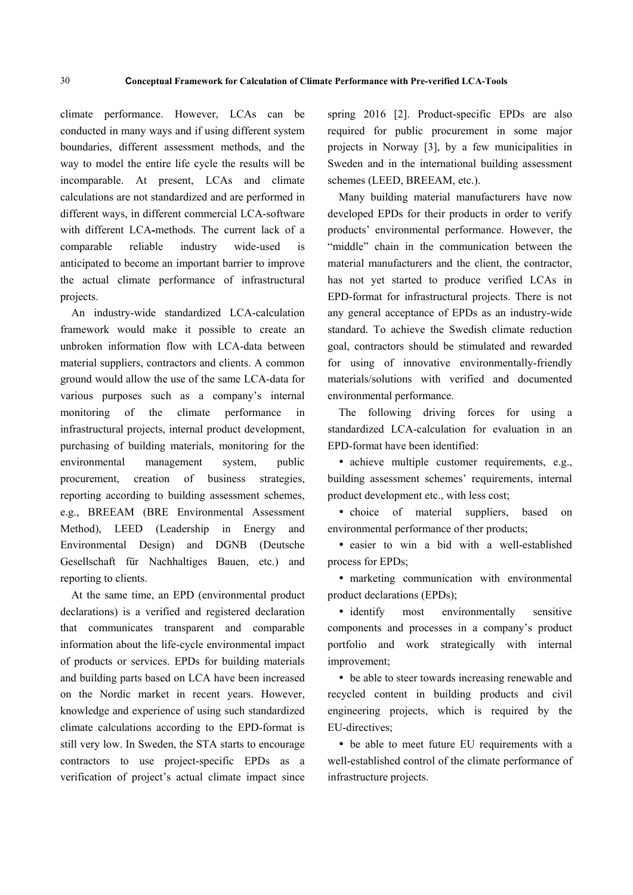climate performance. However, LCAs can be conducted in many ways and if using different system boundaries, different assessment methods, and the way to model the entire life cycle the results will be incomparable. At present, LCAs and climate calculations are not standardized and are performed in different ways, in different commercial LCA-software with different LCA-methods. The current lack of a comparable reliable industry wide-used is anticipated to become an important barrier to improve the actual climate performance of infrastructural projects.

An industry-wide standardized LCA-calculation framework would make it possible to create an unbroken information flow with LCA-data between material suppliers, contractors and clients. A common ground would allow the use of the same LCA-data for various purposes such as a company's internal monitoring of the climate performance in infrastructural projects, internal product development, purchasing of building materials, monitoring for the environmental management system, public procurement, creation of business strategies, reporting according to building assessment schemes, e.g., BREEAM (BRE Environmental Assessment Method), LEED (Leadership in Energy and Environmental Design) and DGNB (Deutsche Gesellschaft für Nachhaltiges Bauen, etc.) and reporting to clients.

At the same time, an EPD (environmental product declarations) is a verified and registered declaration that communicates transparent and comparable information about the life-cycle environmental impact of products or services. EPDs for building materials and building parts based on LCA have been increased on the Nordic market in recent years. However, knowledge and experience of using such standardized climate calculations according to the EPD-format is still very low. In Sweden, the STA starts to encourage contractors to use project-specific EPDs as a verification of project's actual climate impact since spring 2016 [2]. Product-specific EPDs are also required for public procurement in some major projects in Norway [3], by a few municipalities in Sweden and in the international building assessment schemes (LEED, BREEAM, etc.).

Many building material manufacturers have now developed EPDs for their products in order to verify products' environmental performance. However, the "middle" chain in the communication between the material manufacturers and the client, the contractor, has not yet started to produce verified LCAs in EPD-format for infrastructural projects. There is not any general acceptance of EPDs as an industry-wide standard. To achieve the Swedish climate reduction goal, contractors should be stimulated and rewarded for using of innovative environmentally-friendly materials/solutions with verified and documented environmental performance.

The following driving forces for using a standardized LCA-calculation for evaluation in an EPD-format have been identified:

• achieve multiple customer requirements, e.g., building assessment schemes' requirements, internal product development etc., with less cost;

• choice of material suppliers, based on environmental performance of ther products;

• easier to win a bid with a well-established process for EPDs;

• marketing communication with environmental product declarations (EPDs);

 identify most environmentally sensitive components and processes in a company's product portfolio and work strategically with internal improvement;

 be able to steer towards increasing renewable and recycled content in building products and civil engineering projects, which is required by the EU-directives;

 be able to meet future EU requirements with a well-established control of the climate performance of infrastructure projects.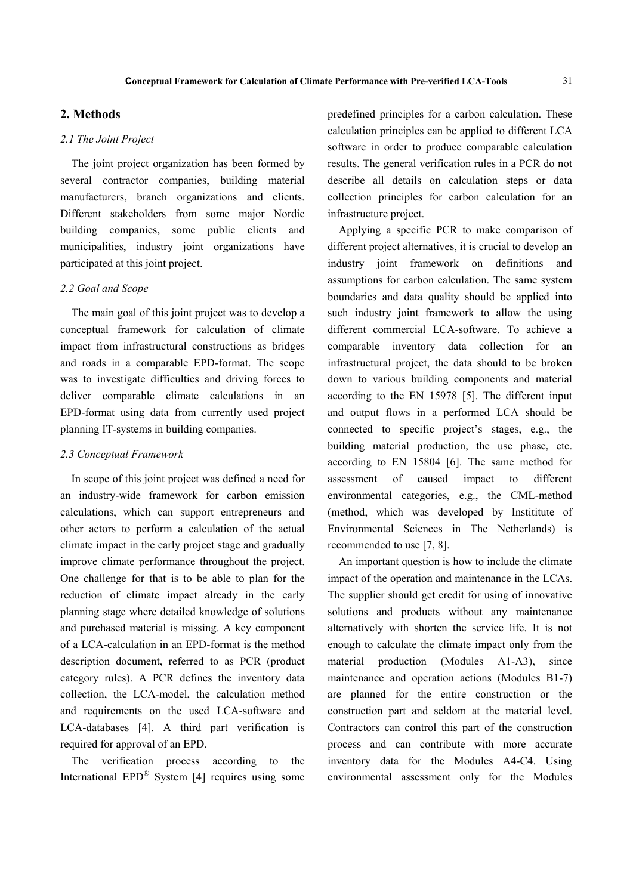# **2. Methods**

#### *2.1 The Joint Project*

The joint project organization has been formed by several contractor companies, building material manufacturers, branch organizations and clients. Different stakeholders from some major Nordic building companies, some public clients and municipalities, industry joint organizations have participated at this joint project.

#### *2.2 Goal and Scope*

The main goal of this joint project was to develop a conceptual framework for calculation of climate impact from infrastructural constructions as bridges and roads in a comparable EPD-format. The scope was to investigate difficulties and driving forces to deliver comparable climate calculations in an EPD-format using data from currently used project planning IT-systems in building companies.

#### *2.3 Conceptual Framework*

In scope of this joint project was defined a need for an industry-wide framework for carbon emission calculations, which can support entrepreneurs and other actors to perform a calculation of the actual climate impact in the early project stage and gradually improve climate performance throughout the project. One challenge for that is to be able to plan for the reduction of climate impact already in the early planning stage where detailed knowledge of solutions and purchased material is missing. A key component of a LCA-calculation in an EPD-format is the method description document, referred to as PCR (product category rules). A PCR defines the inventory data collection, the LCA-model, the calculation method and requirements on the used LCA-software and LCA-databases [4]. A third part verification is required for approval of an EPD.

The verification process according to the International EPD® System [4] requires using some predefined principles for a carbon calculation. These calculation principles can be applied to different LCA software in order to produce comparable calculation results. The general verification rules in a PCR do not describe all details on calculation steps or data collection principles for carbon calculation for an infrastructure project.

Applying a specific PCR to make comparison of different project alternatives, it is crucial to develop an industry joint framework on definitions and assumptions for carbon calculation. The same system boundaries and data quality should be applied into such industry joint framework to allow the using different commercial LCA-software. To achieve a comparable inventory data collection for an infrastructural project, the data should to be broken down to various building components and material according to the EN 15978 [5]. The different input and output flows in a performed LCA should be connected to specific project's stages, e.g., the building material production, the use phase, etc. according to EN 15804 [6]. The same method for assessment of caused impact to different environmental categories, e.g., the CML-method (method, which was developed by Instititute of Environmental Sciences in The Netherlands) is recommended to use [7, 8].

An important question is how to include the climate impact of the operation and maintenance in the LCAs. The supplier should get credit for using of innovative solutions and products without any maintenance alternatively with shorten the service life. It is not enough to calculate the climate impact only from the material production (Modules A1-A3), since maintenance and operation actions (Modules B1-7) are planned for the entire construction or the construction part and seldom at the material level. Contractors can control this part of the construction process and can contribute with more accurate inventory data for the Modules A4-C4. Using environmental assessment only for the Modules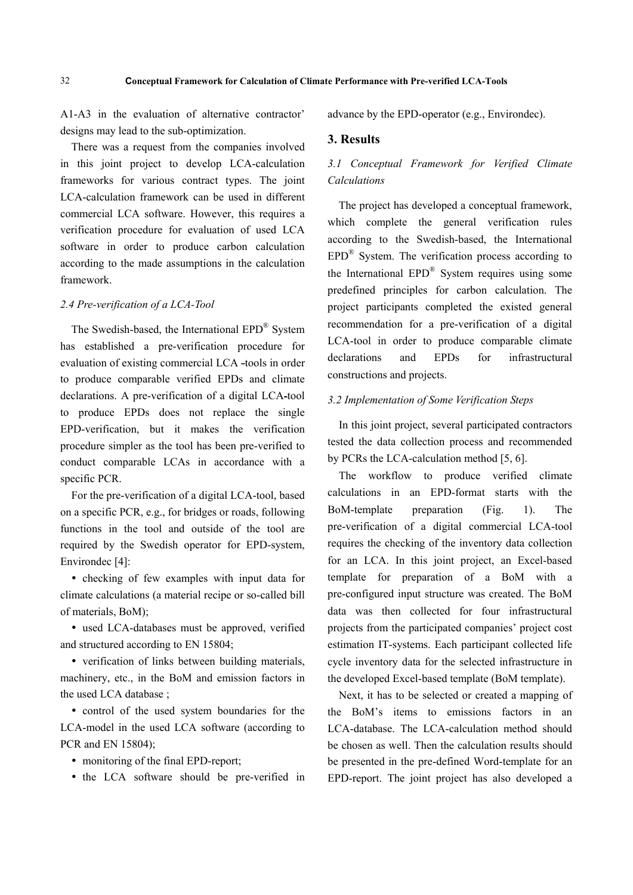A1-A3 in the evaluation of alternative contractor' designs may lead to the sub-optimization.

There was a request from the companies involved in this joint project to develop LCA-calculation frameworks for various contract types. The joint LCA-calculation framework can be used in different commercial LCA software. However, this requires a verification procedure for evaluation of used LCA software in order to produce carbon calculation according to the made assumptions in the calculation framework.

#### *2.4 Pre-verification of a LCA-Tool*

The Swedish-based, the International EPD® System has established a pre-verification procedure for evaluation of existing commercial LCA -tools in order to produce comparable verified EPDs and climate declarations. A pre-verification of a digital LCA-tool to produce EPDs does not replace the single EPD-verification, but it makes the verification procedure simpler as the tool has been pre-verified to conduct comparable LCAs in accordance with a specific PCR.

For the pre-verification of a digital LCA-tool, based on a specific PCR, e.g., for bridges or roads, following functions in the tool and outside of the tool are required by the Swedish operator for EPD-system, Environdec [4]:

 checking of few examples with input data for climate calculations (a material recipe or so-called bill of materials, BoM);

 used LCA-databases must be approved, verified and structured according to EN 15804;

 verification of links between building materials, machinery, etc., in the BoM and emission factors in the used LCA database ;

 control of the used system boundaries for the LCA-model in the used LCA software (according to PCR and EN 15804);

• monitoring of the final EPD-report;

• the LCA software should be pre-verified in

advance by the EPD-operator (e.g., Environdec).

#### **3. Results**

# *3.1 Conceptual Framework for Verified Climate Calculations*

The project has developed a conceptual framework, which complete the general verification rules according to the Swedish-based, the International EPD® System. The verification process according to the International EPD® System requires using some predefined principles for carbon calculation. The project participants completed the existed general recommendation for a pre-verification of a digital LCA-tool in order to produce comparable climate declarations and EPDs for infrastructural constructions and projects.

#### *3.2 Implementation of Some Verification Steps*

In this joint project, several participated contractors tested the data collection process and recommended by PCRs the LCA-calculation method [5, 6].

The workflow to produce verified climate calculations in an EPD-format starts with the BoM-template preparation (Fig. 1). The pre-verification of a digital commercial LCA-tool requires the checking of the inventory data collection for an LCA. In this joint project, an Excel-based template for preparation of a BoM with a pre-configured input structure was created. The BoM data was then collected for four infrastructural projects from the participated companies' project cost estimation IT-systems. Each participant collected life cycle inventory data for the selected infrastructure in the developed Excel-based template (BoM template).

Next, it has to be selected or created a mapping of the BoM's items to emissions factors in an LCA-database. The LCA-calculation method should be chosen as well. Then the calculation results should be presented in the pre-defined Word-template for an EPD-report. The joint project has also developed a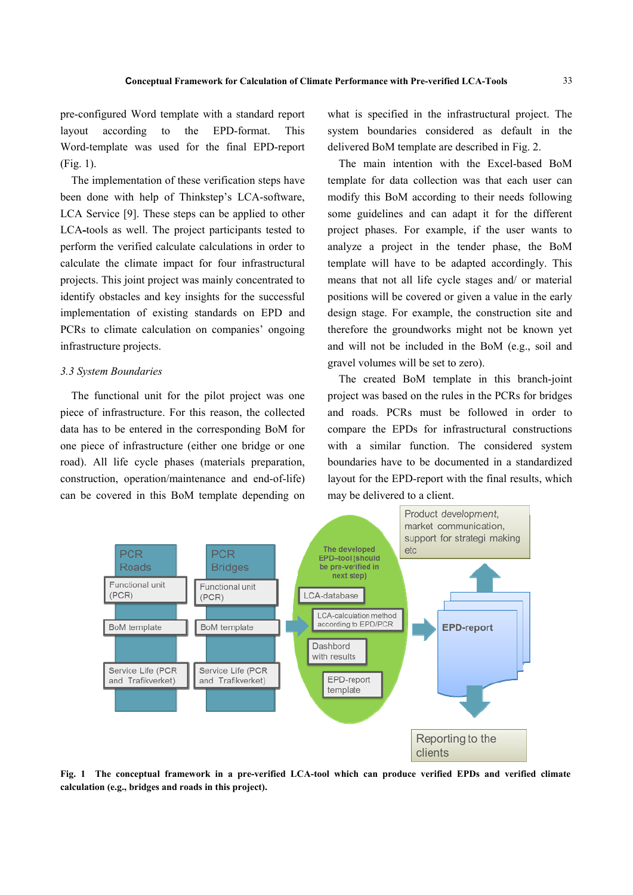pre-configured Word template with a standard report layout according to the EPD-format. This Word-template was used for the final EPD-report (Fig. 1).

The implementation of these verification steps have been done with help of Thinkstep's LCA-software, LCA Service [9]. These steps can be applied to other LCA-tools as well. The project participants tested to perform the verified calculate calculations in order to calculate the climate impact for four infrastructural projects. This joint project was mainly concentrated to identify obstacles and key insights for the successful implementation of existing standards on EPD and PCRs to climate calculation on companies' ongoing infrastructure projects.

#### *3.3 System Boundaries*

The functional unit for the pilot project was one piece of infrastructure. For this reason, the collected data has to be entered in the corresponding BoM for one piece of infrastructure (either one bridge or one road). All life cycle phases (materials preparation, construction, operation/maintenance and end-of-life) can be covered in this BoM template depending on what is specified in the infrastructural project. The system boundaries considered as default in the delivered BoM template are described in Fig. 2.

The main intention with the Excel-based BoM template for data collection was that each user can modify this BoM according to their needs following some guidelines and can adapt it for the different project phases. For example, if the user wants to analyze a project in the tender phase, the BoM template will have to be adapted accordingly. This means that not all life cycle stages and/ or material positions will be covered or given a value in the early design stage. For example, the construction site and therefore the groundworks might not be known yet and will not be included in the BoM (e.g., soil and gravel volumes will be set to zero).

The created BoM template in this branch-joint project was based on the rules in the PCRs for bridges and roads. PCRs must be followed in order to compare the EPDs for infrastructural constructions with a similar function. The considered system boundaries have to be documented in a standardized layout for the EPD-report with the final results, which may be delivered to a client.



**Fig. 1 The conceptual framework in a pre-verified LCA-tool which can produce verified EPDs and verified climate calculation (e.g., bridges and roads in this project).**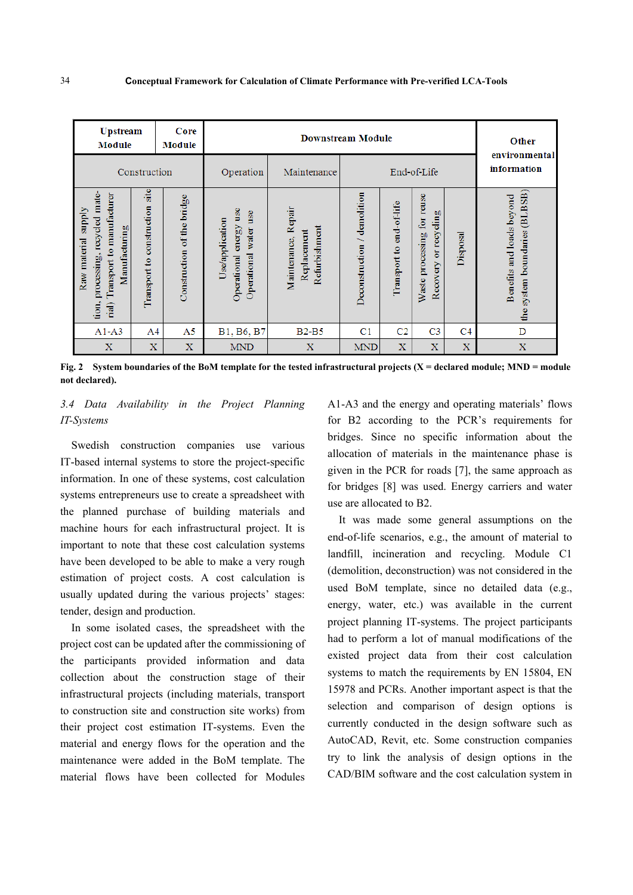| <b>Upstream</b><br>Module                                                                                                      |                                      | Core<br>Module             | <b>Downstream Module</b>                                                       |                                                        |                             |                          |                                                        |                | Other<br>environmental                                        |
|--------------------------------------------------------------------------------------------------------------------------------|--------------------------------------|----------------------------|--------------------------------------------------------------------------------|--------------------------------------------------------|-----------------------------|--------------------------|--------------------------------------------------------|----------------|---------------------------------------------------------------|
| Construction                                                                                                                   |                                      |                            | Operation                                                                      | Maintenance                                            | End of Life                 |                          |                                                        |                | information                                                   |
| mate-<br>Transport to manufacturer<br><b>Siddns</b><br>processing, recycled<br>Manufacturing<br>Raw material<br>tion,<br>rial) | site<br>construction<br>Transport to | Construction of the bridge | use<br>use<br>Use/application<br>energy<br>water<br>Operational<br>Operational | Repair<br>Refurbishment<br>Replacement<br>Maintenance, | Deconstruction / demolition | Transport to end-of-life | for reuse<br>Recovery or recycling<br>Waste processing | Disposal       | (BLBSB)<br>Benefits and loads beyond<br>the system boundaries |
| $A1 - A3$                                                                                                                      | A4                                   | A5                         | B1, B6, B7                                                                     | $B2-B5$                                                | C <sub>1</sub>              | C <sub>2</sub>           | C <sub>3</sub>                                         | C <sub>4</sub> | D                                                             |
| $\mathbf X$                                                                                                                    | $\bf{X}$                             | $\mathbf X$                | <b>MND</b>                                                                     | $\mathbf X$                                            | <b>MND</b>                  | $\mathbf X$              | $\mathbf X$                                            | $\mathbf x$    | $\mathbf X$                                                   |

**Fig. 2 System boundaries of the BoM template for the tested infrastructural projects (X = declared module; MND = module not declared).** 

# *3.4 Data Availability in the Project Planning IT-Systems*

Swedish construction companies use various IT-based internal systems to store the project-specific information. In one of these systems, cost calculation systems entrepreneurs use to create a spreadsheet with the planned purchase of building materials and machine hours for each infrastructural project. It is important to note that these cost calculation systems have been developed to be able to make a very rough estimation of project costs. A cost calculation is usually updated during the various projects' stages: tender, design and production.

In some isolated cases, the spreadsheet with the project cost can be updated after the commissioning of the participants provided information and data collection about the construction stage of their infrastructural projects (including materials, transport to construction site and construction site works) from their project cost estimation IT-systems. Even the material and energy flows for the operation and the maintenance were added in the BoM template. The material flows have been collected for Modules A1-A3 and the energy and operating materials' flows for B2 according to the PCR's requirements for bridges. Since no specific information about the allocation of materials in the maintenance phase is given in the PCR for roads [7], the same approach as for bridges [8] was used. Energy carriers and water use are allocated to B2.

It was made some general assumptions on the end-of-life scenarios, e.g., the amount of material to landfill, incineration and recycling. Module C1 (demolition, deconstruction) was not considered in the used BoM template, since no detailed data (e.g., energy, water, etc.) was available in the current project planning IT-systems. The project participants had to perform a lot of manual modifications of the existed project data from their cost calculation systems to match the requirements by EN 15804, EN 15978 and PCRs. Another important aspect is that the selection and comparison of design options is currently conducted in the design software such as AutoCAD, Revit, etc. Some construction companies try to link the analysis of design options in the CAD/BIM software and the cost calculation system in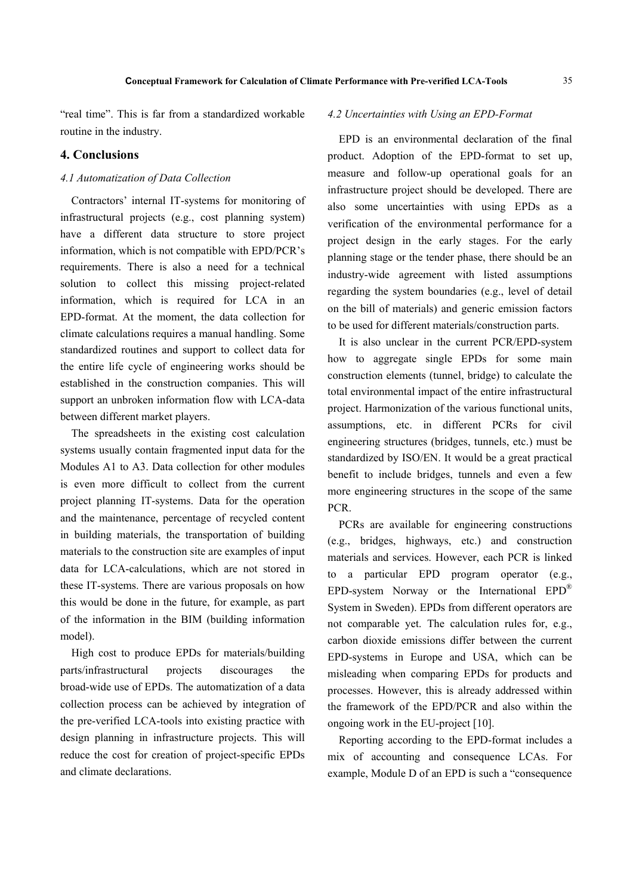"real time". This is far from a standardized workable routine in the industry.

#### **4. Conclusions**

#### *4.1 Automatization of Data Collection*

Contractors' internal IT-systems for monitoring of infrastructural projects (e.g., cost planning system) have a different data structure to store project information, which is not compatible with EPD/PCR's requirements. There is also a need for a technical solution to collect this missing project-related information, which is required for LCA in an EPD-format. At the moment, the data collection for climate calculations requires a manual handling. Some standardized routines and support to collect data for the entire life cycle of engineering works should be established in the construction companies. This will support an unbroken information flow with LCA-data between different market players.

The spreadsheets in the existing cost calculation systems usually contain fragmented input data for the Modules A1 to A3. Data collection for other modules is even more difficult to collect from the current project planning IT-systems. Data for the operation and the maintenance, percentage of recycled content in building materials, the transportation of building materials to the construction site are examples of input data for LCA-calculations, which are not stored in these IT-systems. There are various proposals on how this would be done in the future, for example, as part of the information in the BIM (building information model).

High cost to produce EPDs for materials/building parts/infrastructural projects discourages the broad-wide use of EPDs. The automatization of a data collection process can be achieved by integration of the pre-verified LCA-tools into existing practice with design planning in infrastructure projects. This will reduce the cost for creation of project-specific EPDs and climate declarations.

#### *4.2 Uncertainties with Using an EPD-Format*

EPD is an environmental declaration of the final product. Adoption of the EPD-format to set up, measure and follow-up operational goals for an infrastructure project should be developed. There are also some uncertainties with using EPDs as a verification of the environmental performance for a project design in the early stages. For the early planning stage or the tender phase, there should be an industry-wide agreement with listed assumptions regarding the system boundaries (e.g., level of detail on the bill of materials) and generic emission factors to be used for different materials/construction parts.

It is also unclear in the current PCR/EPD-system how to aggregate single EPDs for some main construction elements (tunnel, bridge) to calculate the total environmental impact of the entire infrastructural project. Harmonization of the various functional units, assumptions, etc. in different PCRs for civil engineering structures (bridges, tunnels, etc.) must be standardized by ISO/EN. It would be a great practical benefit to include bridges, tunnels and even a few more engineering structures in the scope of the same PCR.

PCRs are available for engineering constructions (e.g., bridges, highways, etc.) and construction materials and services. However, each PCR is linked to a particular EPD program operator (e.g., EPD-system Norway or the International EPD® System in Sweden). EPDs from different operators are not comparable yet. The calculation rules for, e.g., carbon dioxide emissions differ between the current EPD-systems in Europe and USA, which can be misleading when comparing EPDs for products and processes. However, this is already addressed within the framework of the EPD/PCR and also within the ongoing work in the EU-project [10].

Reporting according to the EPD-format includes a mix of accounting and consequence LCAs. For example, Module D of an EPD is such a "consequence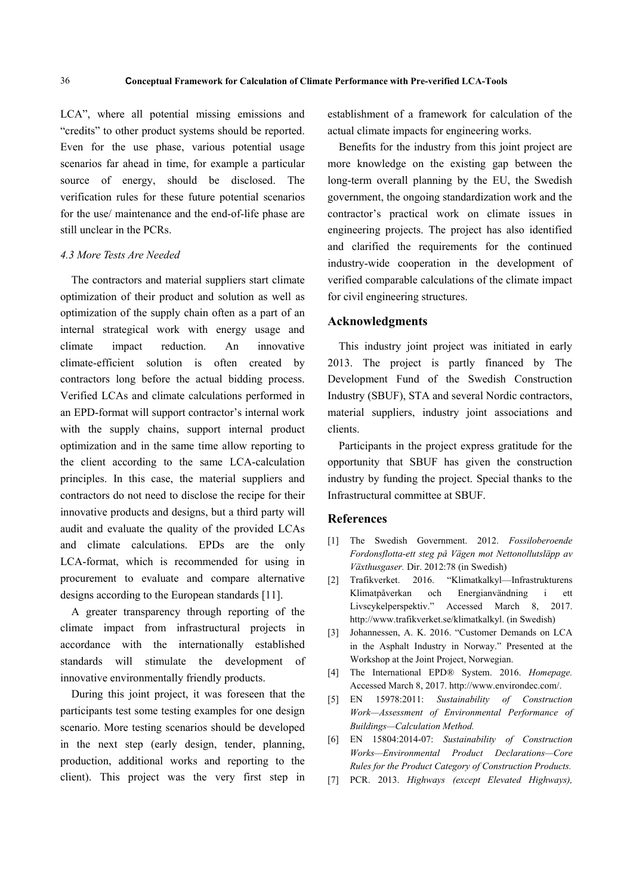LCA", where all potential missing emissions and "credits" to other product systems should be reported. Even for the use phase, various potential usage scenarios far ahead in time, for example a particular source of energy, should be disclosed. The verification rules for these future potential scenarios for the use/ maintenance and the end-of-life phase are still unclear in the PCRs.

## *4.3 More Tests Are Needed*

The contractors and material suppliers start climate optimization of their product and solution as well as optimization of the supply chain often as a part of an internal strategical work with energy usage and climate impact reduction. An innovative climate-efficient solution is often created by contractors long before the actual bidding process. Verified LCAs and climate calculations performed in an EPD-format will support contractor's internal work with the supply chains, support internal product optimization and in the same time allow reporting to the client according to the same LCA-calculation principles. In this case, the material suppliers and contractors do not need to disclose the recipe for their innovative products and designs, but a third party will audit and evaluate the quality of the provided LCAs and climate calculations. EPDs are the only LCA-format, which is recommended for using in procurement to evaluate and compare alternative designs according to the European standards [11].

A greater transparency through reporting of the climate impact from infrastructural projects in accordance with the internationally established standards will stimulate the development of innovative environmentally friendly products.

During this joint project, it was foreseen that the participants test some testing examples for one design scenario. More testing scenarios should be developed in the next step (early design, tender, planning, production, additional works and reporting to the client). This project was the very first step in establishment of a framework for calculation of the actual climate impacts for engineering works.

Benefits for the industry from this joint project are more knowledge on the existing gap between the long-term overall planning by the EU, the Swedish government, the ongoing standardization work and the contractor's practical work on climate issues in engineering projects. The project has also identified and clarified the requirements for the continued industry-wide cooperation in the development of verified comparable calculations of the climate impact for civil engineering structures.

# **Acknowledgments**

This industry joint project was initiated in early 2013. The project is partly financed by The Development Fund of the Swedish Construction Industry (SBUF), STA and several Nordic contractors, material suppliers, industry joint associations and clients.

Participants in the project express gratitude for the opportunity that SBUF has given the construction industry by funding the project. Special thanks to the Infrastructural committee at SBUF.

### **References**

- [1] The Swedish Government. 2012. *Fossiloberoende Fordonsflotta-ett steg på Vägen mot Nettonollutsläpp av Växthusgaser.* Dir. 2012:78 (in Swedish)
- [2] Trafikverket. 2016. "Klimatkalkyl—Infrastrukturens Klimatpåverkan och Energianvändning i ett Livscykelperspektiv." Accessed March 8, 2017. http://www.trafikverket.se/klimatkalkyl. (in Swedish)
- [3] Johannessen, A. K. 2016. "Customer Demands on LCA in the Asphalt Industry in Norway." Presented at the Workshop at the Joint Project, Norwegian.
- [4] The International EPD® System. 2016. *Homepage.* Accessed March 8, 2017. http://www.environdec.com/.
- [5] EN 15978:2011: *Sustainability of Construction Work—Assessment of Environmental Performance of Buildings—Calculation Method.*
- [6] EN 15804:2014-07: *Sustainability of Construction Works—Environmental Product Declarations—Core Rules for the Product Category of Construction Products.*
- [7] PCR. 2013. *Highways (except Elevated Highways),*